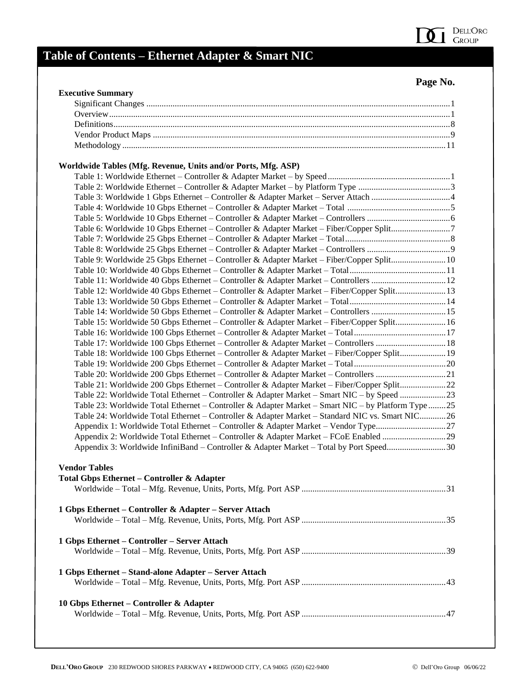

#### **Page No.**

| <b>Executive Summary</b>                                                                           |  |
|----------------------------------------------------------------------------------------------------|--|
|                                                                                                    |  |
|                                                                                                    |  |
|                                                                                                    |  |
|                                                                                                    |  |
|                                                                                                    |  |
| Worldwide Tables (Mfg. Revenue, Units and/or Ports, Mfg. ASP)                                      |  |
|                                                                                                    |  |
|                                                                                                    |  |
|                                                                                                    |  |
|                                                                                                    |  |
|                                                                                                    |  |
| Table 6: Worldwide 10 Gbps Ethernet - Controller & Adapter Market - Fiber/Copper Split7            |  |
|                                                                                                    |  |
|                                                                                                    |  |
| Table 9: Worldwide 25 Gbps Ethernet - Controller & Adapter Market - Fiber/Copper Split 10          |  |
|                                                                                                    |  |
| Table 11: Worldwide 40 Gbps Ethernet - Controller & Adapter Market - Controllers  12               |  |
| Table 12: Worldwide 40 Gbps Ethernet – Controller & Adapter Market – Fiber/Copper Split13          |  |
|                                                                                                    |  |
| Table 14: Worldwide 50 Gbps Ethernet – Controller & Adapter Market – Controllers 15                |  |
| Table 15: Worldwide 50 Gbps Ethernet – Controller & Adapter Market – Fiber/Copper Split 16         |  |
| Table 16: Worldwide 100 Gbps Ethernet - Controller & Adapter Market - Total17                      |  |
| Table 17: Worldwide 100 Gbps Ethernet - Controller & Adapter Market - Controllers  18              |  |
| Table 18: Worldwide 100 Gbps Ethernet - Controller & Adapter Market - Fiber/Copper Split 19        |  |
|                                                                                                    |  |
| Table 20: Worldwide 200 Gbps Ethernet - Controller & Adapter Market - Controllers 21               |  |
|                                                                                                    |  |
| Table 21: Worldwide 200 Gbps Ethernet - Controller & Adapter Market - Fiber/Copper Split22         |  |
| Table 22: Worldwide Total Ethernet – Controller & Adapter Market – Smart NIC – by Speed 23         |  |
| Table 23: Worldwide Total Ethernet – Controller & Adapter Market – Smart NIC – by Platform Type 25 |  |
| Table 24: Worldwide Total Ethernet - Controller & Adapter Market - Standard NIC vs. Smart NIC26    |  |
| Appendix 1: Worldwide Total Ethernet - Controller & Adapter Market - Vendor Type27                 |  |
| Appendix 2: Worldwide Total Ethernet – Controller & Adapter Market – FCoE Enabled 29               |  |
| Appendix 3: Worldwide InfiniBand – Controller & Adapter Market – Total by Port Speed30             |  |
| <b>Vendor Tables</b>                                                                               |  |
| <b>Total Gbps Ethernet - Controller &amp; Adapter</b>                                              |  |
|                                                                                                    |  |
| 1 Gbps Ethernet – Controller & Adapter – Server Attach                                             |  |
|                                                                                                    |  |
| 1 Gbps Ethernet – Controller – Server Attach                                                       |  |
|                                                                                                    |  |
| 1 Gbps Ethernet – Stand-alone Adapter – Server Attach                                              |  |
|                                                                                                    |  |
| 10 Gbps Ethernet – Controller & Adapter                                                            |  |
|                                                                                                    |  |
|                                                                                                    |  |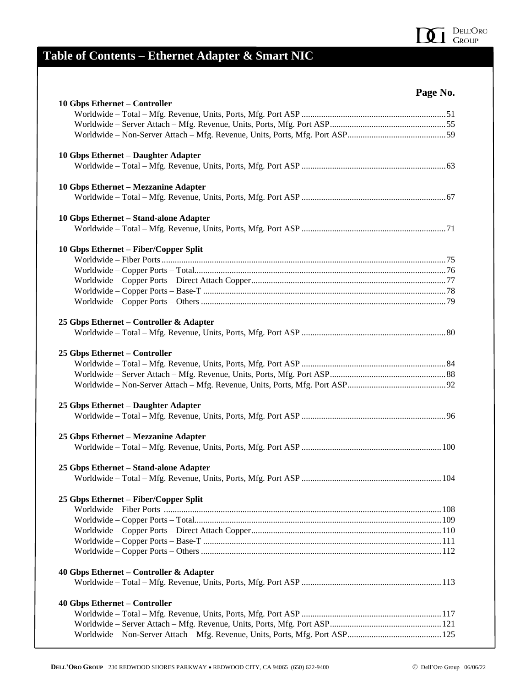#### DELL'Oro<br>Group  $\mathbf{0}$  1

| ισρ<br>ы, | NO. |
|-----------|-----|
|-----------|-----|

| 10 Gbps Ethernet - Controller           |  |
|-----------------------------------------|--|
|                                         |  |
|                                         |  |
|                                         |  |
| 10 Gbps Ethernet - Daughter Adapter     |  |
|                                         |  |
| 10 Gbps Ethernet - Mezzanine Adapter    |  |
|                                         |  |
| 10 Gbps Ethernet - Stand-alone Adapter  |  |
|                                         |  |
| 10 Gbps Ethernet - Fiber/Copper Split   |  |
|                                         |  |
|                                         |  |
|                                         |  |
|                                         |  |
|                                         |  |
| 25 Gbps Ethernet – Controller & Adapter |  |
|                                         |  |
| 25 Gbps Ethernet - Controller           |  |
|                                         |  |
|                                         |  |
|                                         |  |
| 25 Gbps Ethernet - Daughter Adapter     |  |
|                                         |  |
| 25 Gbps Ethernet - Mezzanine Adapter    |  |
|                                         |  |
| 25 Gbps Ethernet - Stand-alone Adapter  |  |
|                                         |  |
| 25 Gbps Ethernet – Fiber/Copper Split   |  |
|                                         |  |
|                                         |  |
|                                         |  |
|                                         |  |
|                                         |  |
| 40 Gbps Ethernet - Controller & Adapter |  |
|                                         |  |
| <b>40 Gbps Ethernet - Controller</b>    |  |
|                                         |  |
|                                         |  |
|                                         |  |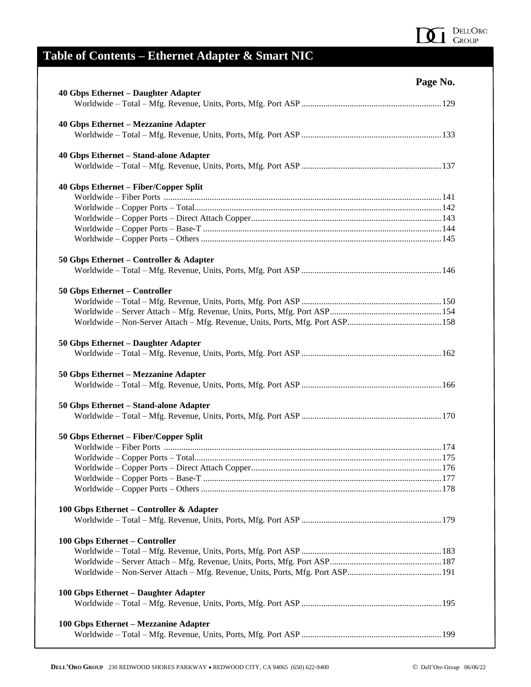

| 71 | v | n |
|----|---|---|
|    |   |   |

| <b>40 Gbps Ethernet - Daughter Adapter</b> |  |
|--------------------------------------------|--|
|                                            |  |
| 40 Gbps Ethernet - Mezzanine Adapter       |  |
|                                            |  |
| 40 Gbps Ethernet - Stand-alone Adapter     |  |
|                                            |  |
| 40 Gbps Ethernet – Fiber/Copper Split      |  |
|                                            |  |
|                                            |  |
|                                            |  |
|                                            |  |
|                                            |  |
| 50 Gbps Ethernet – Controller & Adapter    |  |
|                                            |  |
| 50 Gbps Ethernet - Controller              |  |
|                                            |  |
|                                            |  |
|                                            |  |
| 50 Gbps Ethernet - Daughter Adapter        |  |
|                                            |  |
| 50 Gbps Ethernet – Mezzanine Adapter       |  |
|                                            |  |
| 50 Gbps Ethernet - Stand-alone Adapter     |  |
|                                            |  |
| 50 Gbps Ethernet – Fiber/Copper Split      |  |
|                                            |  |
|                                            |  |
|                                            |  |
|                                            |  |
|                                            |  |
| 100 Gbps Ethernet - Controller & Adapter   |  |
|                                            |  |
| 100 Gbps Ethernet - Controller             |  |
|                                            |  |
|                                            |  |
|                                            |  |
| 100 Gbps Ethernet - Daughter Adapter       |  |
|                                            |  |
| 100 Gbps Ethernet - Mezzanine Adapter      |  |
|                                            |  |
|                                            |  |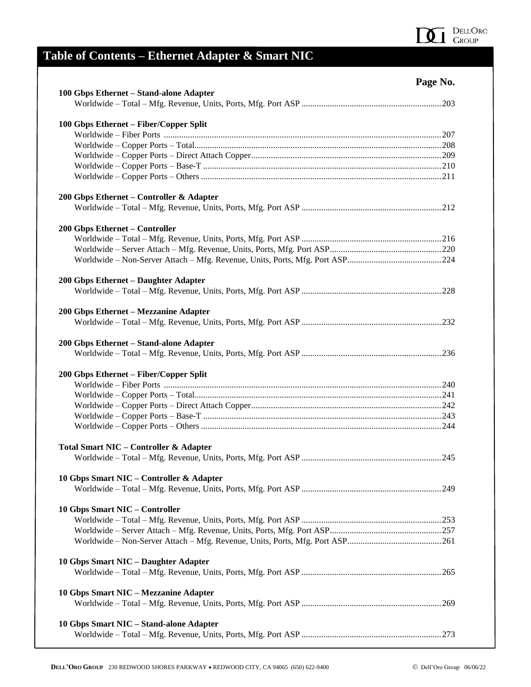

| ν | ٧ı |
|---|----|
| ч | n  |

| 100 Gbps Ethernet - Stand-alone Adapter           |  |
|---------------------------------------------------|--|
|                                                   |  |
| 100 Gbps Ethernet - Fiber/Copper Split            |  |
|                                                   |  |
|                                                   |  |
|                                                   |  |
|                                                   |  |
|                                                   |  |
| 200 Gbps Ethernet - Controller & Adapter          |  |
|                                                   |  |
| 200 Gbps Ethernet - Controller                    |  |
|                                                   |  |
|                                                   |  |
|                                                   |  |
| 200 Gbps Ethernet - Daughter Adapter              |  |
|                                                   |  |
| 200 Gbps Ethernet - Mezzanine Adapter             |  |
|                                                   |  |
| 200 Gbps Ethernet - Stand-alone Adapter           |  |
|                                                   |  |
| 200 Gbps Ethernet - Fiber/Copper Split            |  |
|                                                   |  |
|                                                   |  |
|                                                   |  |
|                                                   |  |
|                                                   |  |
| <b>Total Smart NIC - Controller &amp; Adapter</b> |  |
|                                                   |  |
| 10 Gbps Smart NIC - Controller & Adapter          |  |
|                                                   |  |
| 10 Gbps Smart NIC - Controller                    |  |
|                                                   |  |
|                                                   |  |
|                                                   |  |
| 10 Gbps Smart NIC - Daughter Adapter              |  |
|                                                   |  |
| 10 Gbps Smart NIC - Mezzanine Adapter             |  |
|                                                   |  |
| 10 Gbps Smart NIC - Stand-alone Adapter           |  |
|                                                   |  |
|                                                   |  |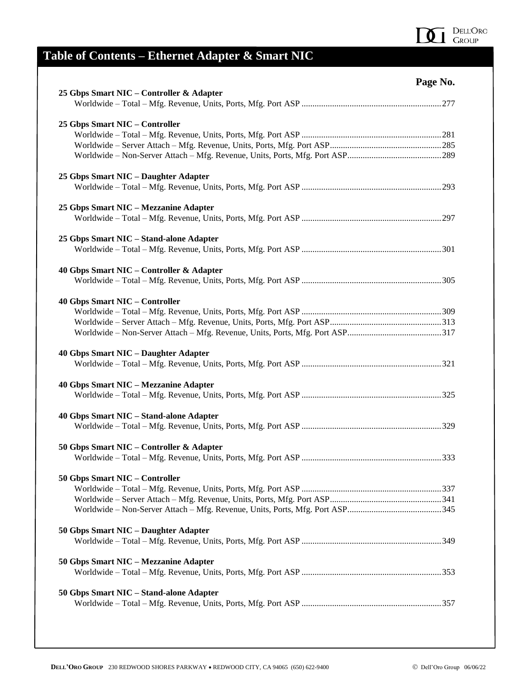

|                                             | Page No. |
|---------------------------------------------|----------|
| 25 Gbps Smart NIC – Controller & Adapter    |          |
|                                             |          |
| 25 Gbps Smart NIC - Controller              |          |
|                                             |          |
|                                             |          |
|                                             |          |
| 25 Gbps Smart NIC - Daughter Adapter        |          |
|                                             |          |
| 25 Gbps Smart NIC - Mezzanine Adapter       |          |
|                                             |          |
| 25 Gbps Smart NIC - Stand-alone Adapter     |          |
|                                             |          |
| 40 Gbps Smart NIC – Controller & Adapter    |          |
|                                             |          |
| <b>40 Gbps Smart NIC - Controller</b>       |          |
|                                             |          |
|                                             |          |
|                                             |          |
| <b>40 Gbps Smart NIC - Daughter Adapter</b> |          |
| 40 Gbps Smart NIC - Mezzanine Adapter       |          |
|                                             |          |
| 40 Gbps Smart NIC - Stand-alone Adapter     |          |
|                                             |          |
| 50 Gbps Smart NIC - Controller & Adapter    |          |
|                                             |          |
| 50 Gbps Smart NIC - Controller              |          |
|                                             |          |
|                                             |          |
|                                             |          |
| 50 Gbps Smart NIC - Daughter Adapter        |          |
| 50 Gbps Smart NIC - Mezzanine Adapter       |          |
|                                             |          |
| 50 Gbps Smart NIC - Stand-alone Adapter     |          |
|                                             |          |
|                                             |          |